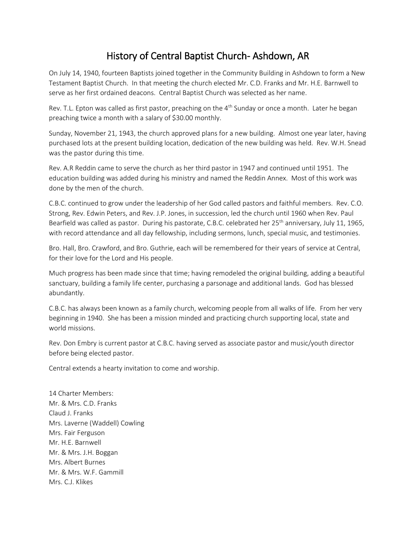## History of Central Baptist Church- Ashdown, AR

On July 14, 1940, fourteen Baptists joined together in the Community Building in Ashdown to form a New Testament Baptist Church. In that meeting the church elected Mr. C.D. Franks and Mr. H.E. Barnwell to serve as her first ordained deacons. Central Baptist Church was selected as her name.

Rev. T.L. Epton was called as first pastor, preaching on the  $4<sup>th</sup>$  Sunday or once a month. Later he began preaching twice a month with a salary of \$30.00 monthly.

Sunday, November 21, 1943, the church approved plans for a new building. Almost one year later, having purchased lots at the present building location, dedication of the new building was held. Rev. W.H. Snead was the pastor during this time.

Rev. A.R Reddin came to serve the church as her third pastor in 1947 and continued until 1951. The education building was added during his ministry and named the Reddin Annex. Most of this work was done by the men of the church.

C.B.C. continued to grow under the leadership of her God called pastors and faithful members. Rev. C.O. Strong, Rev. Edwin Peters, and Rev. J.P. Jones, in succession, led the church until 1960 when Rev. Paul Bearfield was called as pastor. During his pastorate, C.B.C. celebrated her 25<sup>th</sup> anniversary, July 11, 1965, with record attendance and all day fellowship, including sermons, lunch, special music, and testimonies.

Bro. Hall, Bro. Crawford, and Bro. Guthrie, each will be remembered for their years of service at Central, for their love for the Lord and His people.

Much progress has been made since that time; having remodeled the original building, adding a beautiful sanctuary, building a family life center, purchasing a parsonage and additional lands. God has blessed abundantly.

C.B.C. has always been known as a family church, welcoming people from all walks of life. From her very beginning in 1940. She has been a mission minded and practicing church supporting local, state and world missions.

Rev. Don Embry is current pastor at C.B.C. having served as associate pastor and music/youth director before being elected pastor.

Central extends a hearty invitation to come and worship.

14 Charter Members: Mr. & Mrs. C.D. Franks Claud J. Franks Mrs. Laverne (Waddell) Cowling Mrs. Fair Ferguson Mr. H.E. Barnwell Mr. & Mrs. J.H. Boggan Mrs. Albert Burnes Mr. & Mrs. W.F. Gammill Mrs. C.J. Klikes